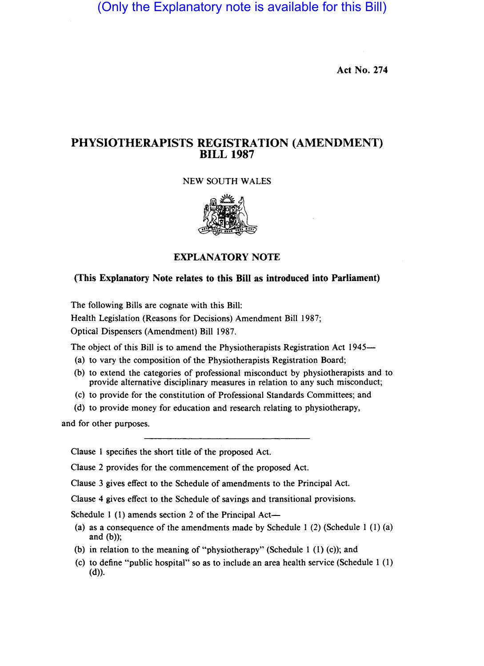(Only the Explanatory note is available for this Bill)

Act No. 274

## PHYSIOTHERAPISTS REGISTRATION (AMENDMENT) BILL 1987

## NEW SOUTH WALES



EXPLANATORY NOTE

## (This Explanatory Note relates to this Bill as introduced into Parliament)

The following Bills are cognate with this Bill: Health Legislation (Reasons for Decisions) Amendment Bill 1987; Optical Dispensers (Amendment) Bill 1987.

The object of this Bill is to amend the Physiotherapists Registration Act 1945-

- (a) to vary the composition of the Physiotherapists Registration Board;
- (b) to extend the categories of professional misconduct by physiotherapists and to provide alternative disciplinary measures in relation to any such misconduct;
- (c) to provide for the constitution of Professional Standards Committees; and
- (d) to provide money for education and research relating to physiotherapy,

and for other purposes.

Clause 1 specifies the short title of the proposed Act.

Clause 2 provides for the commencement of the proposed Act.

Clause 3 gives effect to the Schedule of amendments to the Principal Act.

Clause 4 gives effect to the Schedule of savings and transitional provisions.

Schedule 1 (1) amends section 2 of the Principal Act-

- (a) as a consequence of the amendments made by Schedule 1 (2) (Schedule 1 (1) (a) and  $(b)$ );
- (b) in relation to the meaning of "physiotherapy" (Schedule 1  $(1)$  (c)); and
- (c) to define "public hospital" so as to include an area health service (Schedule 1 (1)  $(d)$ ).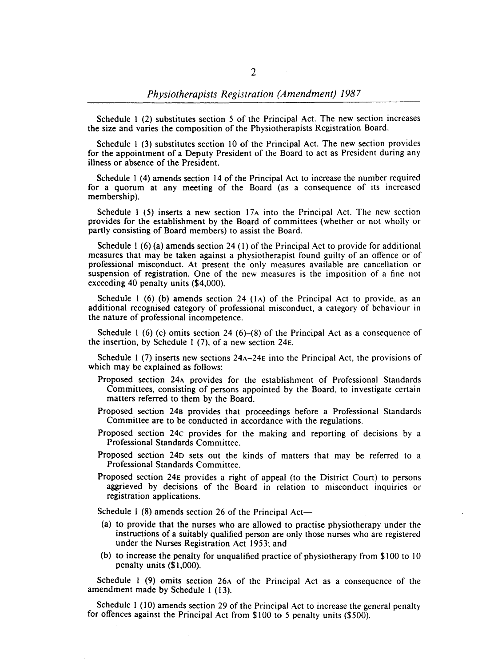Schedule I (2) substitutes section 5 of the Principal Act. The new section increases the size and varies the composition of the Physiotherapists Registration Board.

Schedule I (3) substitutes section 10 of the Principal Act. The new section provides for the appointment of a Deputy President of the Board to act as President during any illness or absence of the President.

Schedule I (4) amends section 14 of the Principal Act to increase the number required for a quorum at any meeting of the Board (as a consequence of its increased membership).

Schedule 1 (5) inserts a new section  $17A$  into the Principal Act. The new section provides for the establishment by the Board of committees (whether or not wholly or partly consisting of Board members) to assist the Board.

Schedule 1  $(6)$  (a) amends section 24  $(1)$  of the Principal Act to provide for additional measures that may be taken against a physiotherapist found guilty of an offence or of professional misconduct. At present the only measures available are cancellation or suspension of registration. One of the new measures is the imposition of a fine not exceeding 40 penalty units (\$4,000).

Schedule 1 (6) (b) amends section 24 (1A) of the Principal Act to provide, as an additional recognised category of professional misconduct, a category of behaviour in the nature of professional incompetence.

Schedule 1 (6) (c) omits section 24 (6)–(8) of the Principal Act as a consequence of the insertion, by Schedule I (7), of a new section 24E.

Schedule I (7) inserts new sections 24A-24E into the Principal Act, the provisions of which may be explained as follows:

- Proposed section 24A provides for the establishment of Professional Standards Committees, consisting of persons appointed by the Board, to investigate certain matters referred to them by the Board.
- Proposed section 24B provides that proceedings before a Professional Standards Committee are to be conducted in accordance with the regulations.
- Proposed section 24c provides for the making and reporting of decisions by a Professional Standards Committee.
- Proposed section 24D sets out the kinds of matters that may be referred to a Professional Standards Committee.
- Proposed section 24E provides a right of appeal (to the District Court) to persons aggrieved by decisions of the Board in relation to misconduct inquiries or registration applications.

Schedule 1  $(8)$  amends section 26 of the Principal Act-

- (a) to provide that the nurses who are allowed to practise physiotherapy under the instructions of a suitably qualified person are only those nurses who are registered under the Nurses Registration Act 1953; and
- (b) to increase the penalty for unqualified practice of physiotherapy from \$100 to 10 penalty units (\$1,000).

Schedule 1 (9) omits section 26A of the Principal Act as a consequence of the amendment made by Schedule I (13).

Schedule I (10) amends section 29 of the Principal Act to increase the general penalty for offences against the Principal Act from \$100 to 5 penalty units (\$500).